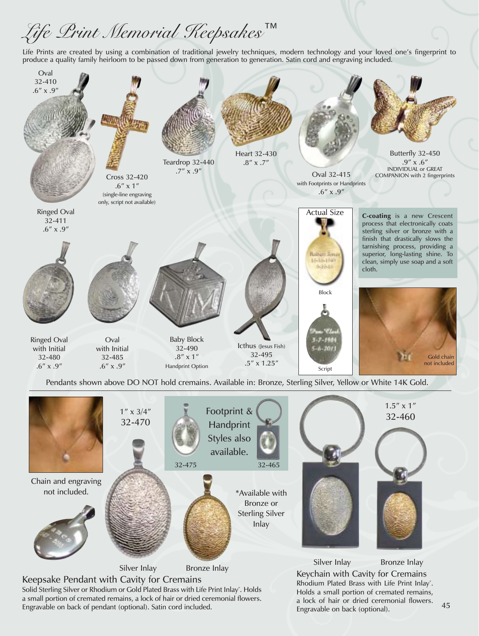## Life Print Memorial Reepsakes<sup>™</sup>

Life Prints are created by using a combination of traditional jewelry techniques, modern technology and your loved one's fingerprint to produce a quality family heirloom to be passed down from generation to generation. Satin cord and engraving included.



\*Available with Bronze or Sterling Silver Inlay

available. 32-475 32-465

Silver Inlay Bronze Inlay

Chain and engraving not included.

Keepsake Pendant with Cavity for Cremains Solid Sterling Silver or Rhodium or Gold Plated Brass with Life Print Inlay\* . Holds a small portion of cremated remains, a lock of hair or dried ceremonial flowers. Engravable on back of pendant (optional). Satin cord included.

Keychain with Cavity for Cremains Rhodium Plated Brass with Life Print Inlay\* . Holds a small portion of cremated remains, a lock of hair or dried ceremonial flowers. Engravable on back (optional). Silver Inlay Bronze Inlay

45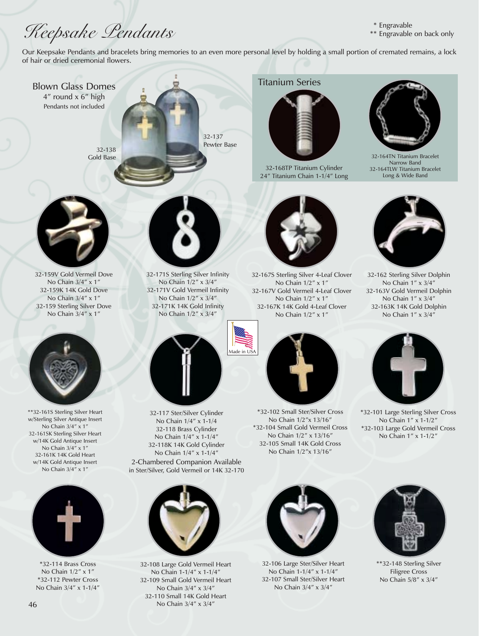## Reepsake Pendants

- \* Engravable
- \*\* Engravable on back only

Our Keepsake Pendants and bracelets bring memories to an even more personal level by holding a small portion of cremated remains, a lock of hair or dried ceremonial flowers.